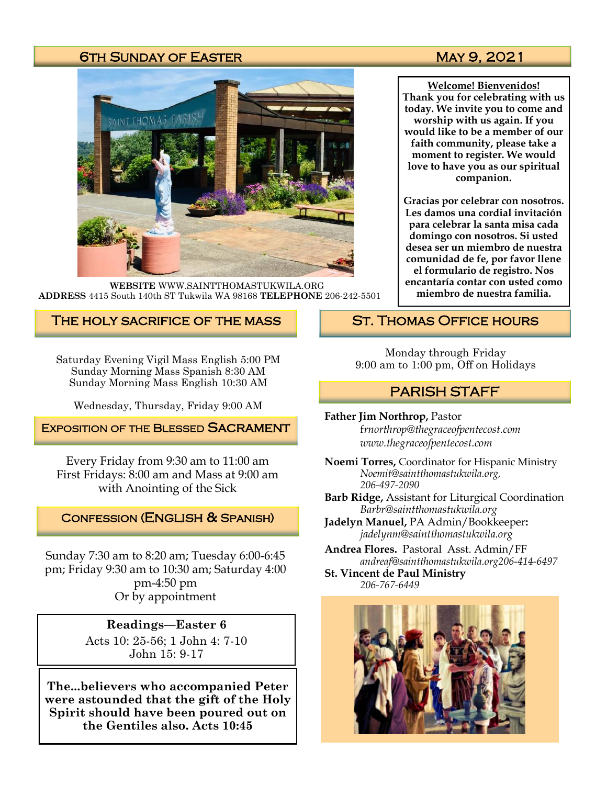#### 6TH SUNDAY OF EASTER MAY 9, 2021



**WEBSITE** WWW.SAINTTHOMASTUKWILA.ORG **ADDRESS** 4415 South 140th ST Tukwila WA 98168 **TELEPHONE** 206-242-5501

#### The holy sacrifice of the mass

Saturday Evening Vigil Mass English 5:00 PM Sunday Morning Mass Spanish 8:30 AM Sunday Morning Mass English 10:30 AM

Wednesday, Thursday, Friday 9:00 AM

**EXPOSITION OF THE BLESSED SACRAMENT** 

Every Friday from 9:30 am to 11:00 am First Fridays: 8:00 am and Mass at 9:00 am with Anointing of the Sick

#### Confession (English & Spanish)

Sunday 7:30 am to 8:20 am; Tuesday 6:00-6:45 pm; Friday 9:30 am to 10:30 am; Saturday 4:00 pm-4:50 pm Or by appointment

> **Readings—Easter 6** Acts 10: 25-56; 1 John 4: 7-10 John 15: 9-17

**The...believers who accompanied Peter were astounded that the gift of the Holy Spirit should have been poured out on the Gentiles also. Acts 10:45**

**Welcome! Bienvenidos! Thank you for celebrating with us today. We invite you to come and worship with us again. If you would like to be a member of our faith community, please take a moment to register. We would love to have you as our spiritual companion.** 

**Gracias por celebrar con nosotros. Les damos una cordial invitación para celebrar la santa misa cada domingo con nosotros. Si usted desea ser un miembro de nuestra comunidad de fe, por favor llene el formulario de registro. Nos encantaría contar con usted como miembro de nuestra familia.**

#### St. Thomas Office hours

Monday through Friday 9:00 am to 1:00 pm, Off on Holidays

### PARISH STAFF

**Father Jim Northrop,** Pastor f*rnorthrop@thegraceofpentecost.com www.thegraceofpentecost.com* 

**Noemi Torres,** Coordinator for Hispanic Ministry *Noemit@saintthomastukwila.org, 206-497-2090*

**Barb Ridge,** Assistant for Liturgical Coordination *Barbr@saintthomastukwila.org*

**Jadelyn Manuel,** PA Admin/Bookkeeper**:**  *jadelynm@saintthomastukwila.org*

**Andrea Flores.** Pastoral Asst. Admin/FF *andreaf@saintthomastukwila.org206-414-6497*

**St. Vincent de Paul Ministry** *206-767-6449*

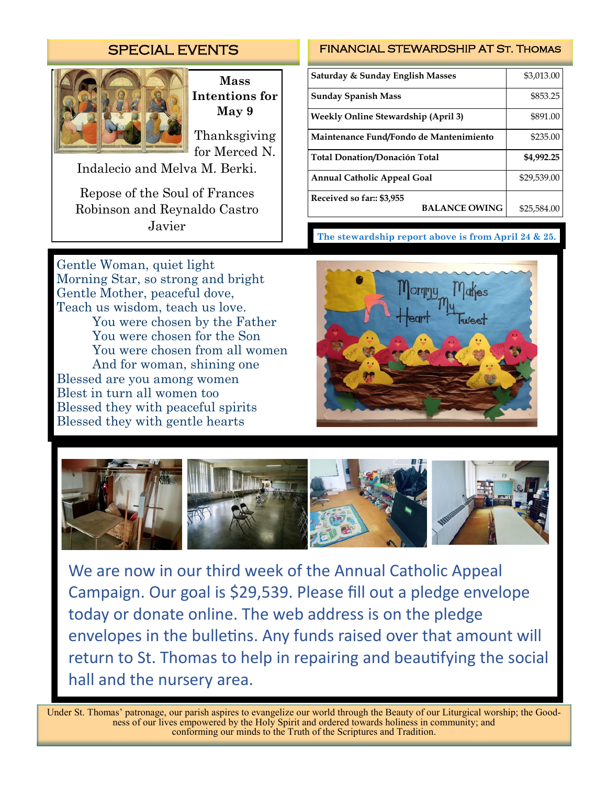## SPECIAL EVENTS



**Mass Intentions for May 9**

Thanksgiving for Merced N.

Indalecio and Melva M. Berki.

Repose of the Soul of Frances Robinson and Reynaldo Castro Javier

Gentle Woman, quiet light Morning Star, so strong and bright Gentle Mother, peaceful dove, Teach us wisdom, teach us love. You were chosen by the Father You were chosen for the Son You were chosen from all women And for woman, shining one Blessed are you among women Blest in turn all women too Blessed they with peaceful spirits Blessed they with gentle hearts

#### FINANCIAL STEWARDSHIP AT St. Thomas

| Saturday & Sunday English Masses                  | \$3,013.00  |
|---------------------------------------------------|-------------|
| <b>Sunday Spanish Mass</b>                        | \$853.25    |
| <b>Weekly Online Stewardship (April 3)</b>        | \$891.00    |
| Maintenance Fund/Fondo de Mantenimiento           | \$235.00    |
| Total Donation/Donación Total                     | \$4,992.25  |
| <b>Annual Catholic Appeal Goal</b>                | \$29,539.00 |
| Received so far:: \$3,955<br><b>BALANCE OWING</b> | \$25,584.00 |

**The stewardship report above is from April 24 & 25.**





We are now in our third week of the Annual Catholic Appeal Campaign. Our goal is \$29,539. Please fill out a pledge envelope today or donate online. The web address is on the pledge envelopes in the bulletins. Any funds raised over that amount will return to St. Thomas to help in repairing and beautifying the social hall and the nursery area.

Under St. Thomas' patronage, our parish aspires to evangelize our world through the Beauty of our Liturgical worship; the Goodness of our lives empowered by the Holy Spirit and ordered towards holiness in community; and conforming our minds to the Truth of the Scriptures and Tradition.